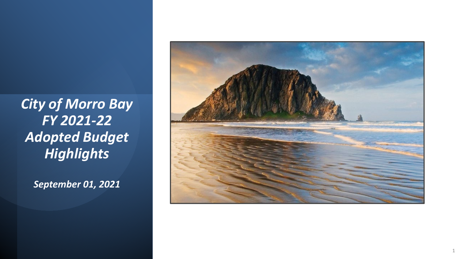*September 01, 2021*

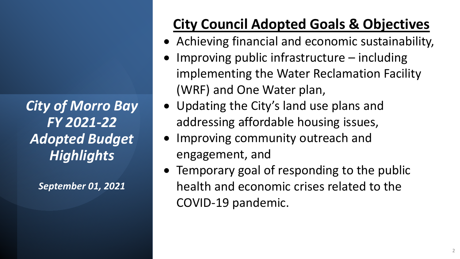*September 01, 2021*

## **City Council Adopted Goals & Objectives**

- Achieving financial and economic sustainability,
- Improving public infrastructure  $-$  including implementing the Water Reclamation Facility (WRF) and One Water plan,
- Updating the City's land use plans and addressing affordable housing issues,
- Improving community outreach and engagement, and
- Temporary goal of responding to the public health and economic crises related to the COVID-19 pandemic.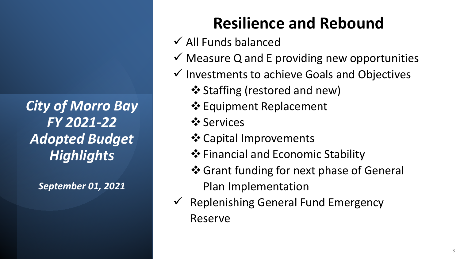*September 01, 2021*

## **Resilience and Rebound**

- $\checkmark$  All Funds balanced
- $\checkmark$  Measure Q and E providing new opportunities
- $\checkmark$  Investments to achieve Goals and Objectives
	- ❖ Staffing (restored and new)
	- $\triangle$  Equipment Replacement
	- $\dots$  **Services**
	- Capital Improvements
	- $\triangle$  Financial and Economic Stability
	- ❖ Grant funding for next phase of General Plan Implementation
- $\checkmark$  Replenishing General Fund Emergency Reserve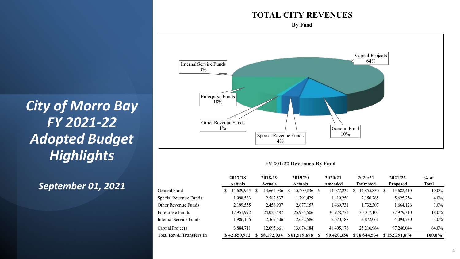#### **TOTAL CITY REVENUES**

**By Fund**



#### **FY 201/22 Revenues By Fund**

|                          | 2017/18 |                | 2018/19 |                | 2019/20 |                | 2020/21<br>Amended |              | 2020/21          |                 | 2021/22 | $%$ of        |          |         |
|--------------------------|---------|----------------|---------|----------------|---------|----------------|--------------------|--------------|------------------|-----------------|---------|---------------|----------|---------|
|                          |         | <b>Actuals</b> |         | <b>Actuals</b> |         | <b>Actuals</b> |                    |              | <b>Estimated</b> | <b>Proposed</b> |         | <b>Total</b>  |          |         |
| General Fund             |         | 14,629,925     |         | 14,662,936     |         | 15,409,836     |                    | 14,077,237   | S                | 14,855,830      | S       | 15,682,410    | $10.0\%$ |         |
| Special Revenue Funds    |         | 1,998,563      |         | 2,582,537      |         | 1,791,429      |                    | 1,819,250    |                  | 2,150,265       |         | 5,625,254     |          | $4.0\%$ |
| Other Revenue Funds      |         | 2,199,555      |         | 2,456,907      |         | 2,677,157      |                    | 1,469,731    |                  | 1,732,307       |         | 1,664,126     |          | $1.0\%$ |
| Enterprise Funds         |         | 17,951,992     |         | 24,026,587     |         | 25,934,506     |                    | 30,978,774   |                  | 30,017,107      |         | 27,979,310    | 18.0%    |         |
| Internal Service Funds   |         | 1,986,166      |         | 2,367,406      |         | 2,632,586      |                    | 2,670,188    |                  | 2,872,061       |         | 4,094,730     |          | $3.0\%$ |
| Capital Projects         |         | 3,884,711      |         | 12,095,661     |         | 13.074.184     |                    | 48, 405, 176 |                  | 25,216,964      |         | 97,246,044    | 64.0%    |         |
| Total Rev & Transfers In |         | \$42,650,912   |         | 58,192,034     |         | \$61,519,698   |                    | 99,420,356   |                  | \$76,844,534    |         | \$152,291,874 | 100.0%   |         |

*City of Morro Bay FY 2021-22 Adopted Budget Highlights*

### *September 01, 2021*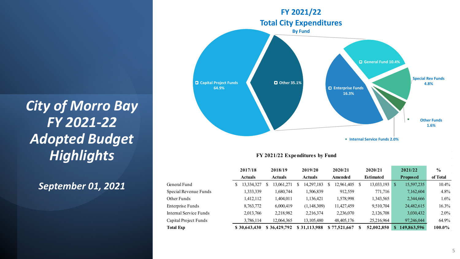#### *September 01, 2021*



#### **FY 2021/22 Expenditures by Fund**

|                        |  | 2017/18<br><b>Actuals</b> |   | 2018/19<br><b>Actuals</b> |   | 2019/20<br><b>Actuals</b> |   | 2020/21<br>Amended |    | 2020/21          |    | 2021/22         | $\frac{0}{0}$ |  |
|------------------------|--|---------------------------|---|---------------------------|---|---------------------------|---|--------------------|----|------------------|----|-----------------|---------------|--|
|                        |  |                           |   |                           |   |                           |   |                    |    | <b>Estimated</b> |    | <b>Proposed</b> | of Total      |  |
| General Fund           |  | 13,334,327                | У | 13,061,271                | S | 14,297,183                | S | 12,961,405         | -S | 13,033,193       | S  | 15,597,235      | $10.4\%$      |  |
| Special Revenue Funds  |  | 1,333,339                 |   | 1,680,744                 |   | 1,506,839                 |   | 912,559            |    | 771,716          |    | 7,162,604       | 4.8%          |  |
| Other Funds            |  | 1,412,112                 |   | ,404,011                  |   | 1,136,421                 |   | 1,578,998          |    | 1,343,565        |    | 2,344,666       | $1.6\%$       |  |
| Enterprise Funds       |  | 8,763,772                 |   | 6,000,419                 |   | (1,148,309)               |   | 11,427,459         |    | 9,510,704        |    | 24,482,615      | 16.3%         |  |
| Internal Service Funds |  | 2,013,766                 |   | 2,218,982                 |   | 2,216,374                 |   | 2,236,070          |    | 2,126,708        |    | 3,030,432       | $2.0\%$       |  |
| Capital Project Funds  |  | 3,786,114                 |   | 12,064,365                |   | 13,105,480                |   | 48, 405, 176       |    | 25,216,964       |    | 97,246,044      | 64.9%         |  |
| <b>Total Exp</b>       |  | \$30,643,430              |   | \$36,429,792              |   | \$31,113,988              |   | \$77,521,667       | S  | 52,002,850       | S. | 149,863,596     | 100.0%        |  |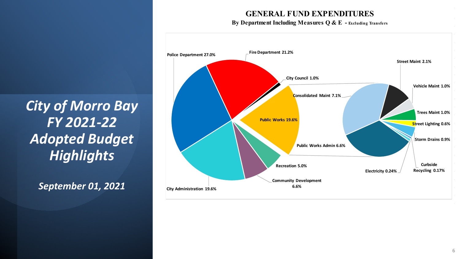#### **GENERAL FUND EXPENDITURES**

#### **By Department Including Measures Q & E - Excluding Transfers**



*City of Morro Bay FY 2021-22 Adopted Budget Highlights*

*September 01, 2021*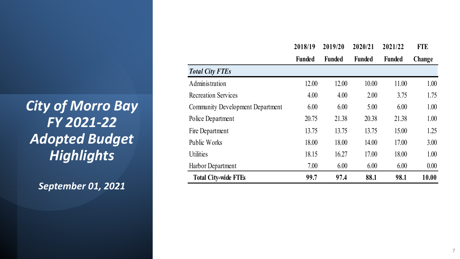*September 01, 2021*

|                                         | 2018/19       | 2019/20       | 2020/21       | 2021/22       | <b>FTE</b> |
|-----------------------------------------|---------------|---------------|---------------|---------------|------------|
|                                         | <b>Funded</b> | <b>Funded</b> | <b>Funded</b> | <b>Funded</b> | Change     |
| <b>Total City FTEs</b>                  |               |               |               |               |            |
| Administration                          | 12.00         | 12.00         | 10.00         | 11.00         | 1.00       |
| <b>Recreation Services</b>              | 4.00          | 4.00          | 2.00          | 3.75          | 1.75       |
| <b>Community Development Department</b> | 6.00          | 6.00          | 5.00          | 6.00          | 1.00       |
| Police Department                       | 20.75         | 21.38         | 20.38         | 21.38         | 1.00       |
| Fire Department                         | 13.75         | 13.75         | 13.75         | 15.00         | 1.25       |
| Public Works                            | 18.00         | 18.00         | 14.00         | 17.00         | 3.00       |
| <b>Utilities</b>                        | 18.15         | 16.27         | 17.00         | 18.00         | 1.00       |
| Harbor Department                       | 7.00          | 6.00          | 6.00          | 6.00          | 0.00       |
| <b>Total City-wide FTEs</b>             | 99.7          | 97.4          | 88.1          | 98.1          | 10.00      |

#### 7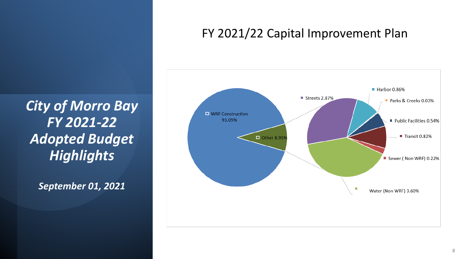*September 01, 2021*

### FY 2021/22 Capital Improvement Plan

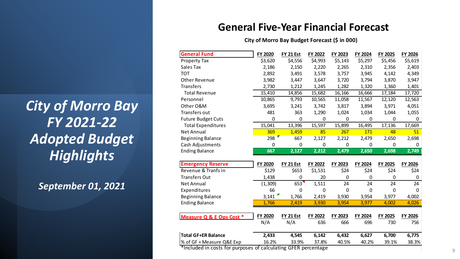*September 01, 2021*

#### **General Five-Year Financial Forecast**

**City of Morro Bay Budget Forecast (\$ in 000)**

| <b>General Fund</b>        | FY 2020     | FY 21 Est          | FY 2022 | FY 2023   | FY 2024     | FY 2025      | FY 2026 |
|----------------------------|-------------|--------------------|---------|-----------|-------------|--------------|---------|
| Property Tax               | \$3,620     | \$4,556            | \$4,993 | \$5,143   | \$5,297     | \$5,456      | \$5,619 |
| Sales Tax                  | 2,186       | 2,150              | 2,220   | 2,265     | 2,310       | 2,356        | 2,403   |
| <b>TOT</b>                 | 2,892       | 3,491              | 3,578   | 3,757     | 3,945       | 4,142        | 4,349   |
| <b>Other Revenue</b>       | 3,982       | 3,447              | 3,647   | 3,720     | 3,794       | 3,870        | 3,947   |
| <b>Transfers</b>           | 2,730       | 1,212              | 1,245   | 1,282     | 1,320       | 1,360        | 1,401   |
| <b>Total Revenue</b>       | 15,410      | 14,856             | 15,682  | 16,166    | 16,666      | 17,184       | 17,720  |
| Personnel                  | 10,865      | 9,793              | 10,565  | 11,058    | 11,567      | 12,120       | 12,563  |
| Other O&M                  | 3,695       | 3,241              | 3,742   | 3,817     | 3,894       | 3,971        | 4,051   |
| Transfers out              | 481         | 363                | 1,290   | 1,024     | 1,034       | 1,044        | 1,055   |
| <b>Future Budget Cuts</b>  | 0           | $\mathbf 0$        | 0       | 0         | 0           | 0            | 0       |
| <b>Total Expenditures</b>  | 15,041      | 13,396             | 15,597  | 15,899    | 16,495      | 17,136       | 17,669  |
| <b>Net Annual</b>          | 369         | 1,459              | 85      | 267       | 171         | 48           | 51      |
| <b>Beginning Balance</b>   | 298         | 667                | 2,127   | 2,212     | 2,479       | 2,650        | 2,698   |
| Cash Adjustments           | $\mathbf 0$ | $\mathbf 0$        | 0       | $\pmb{0}$ | 0           | $\mathbf 0$  | 0       |
|                            |             |                    |         |           |             |              |         |
| <b>Ending Balance</b>      | 667         | $\overline{2,127}$ | 2,212   | 2,479     | 2,650       | 2,698        | 2,749   |
|                            |             |                    |         |           |             |              |         |
| <b>Emergency Reserve</b>   | FY 2020     | FY 21 Est          | FY 2022 | FY 2023   | FY 2024     | FY 2025      | FY 2026 |
| Revenue & Tranfs in        | \$129       | \$653              | \$1,531 | \$24      | \$24        | \$24         | \$24    |
| <b>Transfers Out</b>       | 1,438       | 0                  | 20      | 0         | $\mathbf 0$ | 0            | 0       |
| <b>Net Annual</b>          | (1, 309)    | 653                | 1,511   | 24        | 24          | 24           | 24      |
| Expenditures               | 66          | $\Omega$           | 0       | 0         | $\mathbf 0$ | $\mathbf{0}$ | 0       |
| <b>Beginning Balance</b>   | 3,141       | 1,766              | 2,419   | 3,930     | 3,954       | 3,977        | 4,002   |
| <b>Ending Balance</b>      | 1,766       | 2,419              | 3,930   | 3,954     | 3,977       | 4,002        | 4,026   |
|                            |             |                    |         |           |             |              |         |
| Measure Q & E Ops Cost *   | FY 2020     | <b>FY 21 Est</b>   | FY 2022 | FY 2023   | FY 2024     | FY 2025      | FY 2026 |
|                            | N/A         | N/A                | 636     | 666       | 696         | 730          | 756     |
| <b>Total GF+ER Balance</b> | 2,433       | 4,545              | 6,142   | 6,432     | 6,627       | 6,700        | 6,775   |

\*Included in costs for purposes of calculating GFER percentage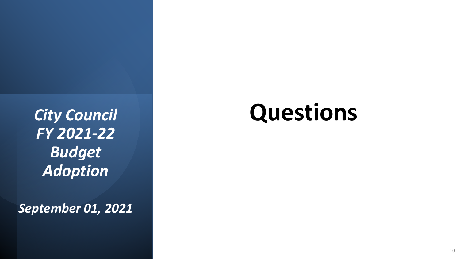*September 01, 2021*

# **Questions**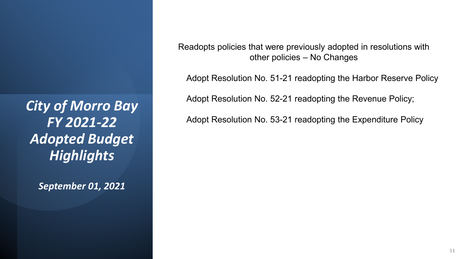*September 01, 2021*

Readopts policies that were previously adopted in resolutions with other policies – No Changes

Adopt Resolution No. 51-21 readopting the Harbor Reserve Policy

Adopt Resolution No. 52-21 readopting the Revenue Policy;

Adopt Resolution No. 53-21 readopting the Expenditure Policy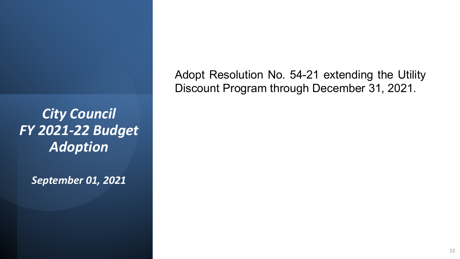*September 01, 2021*

Adopt Resolution No. 54-21 extending the Utility Discount Program through December 31, 2021.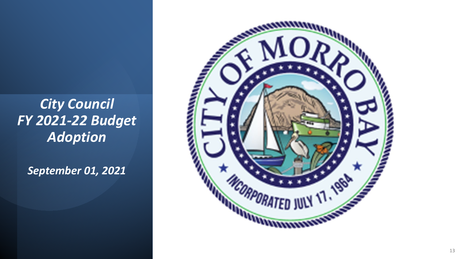*September 01, 2021*

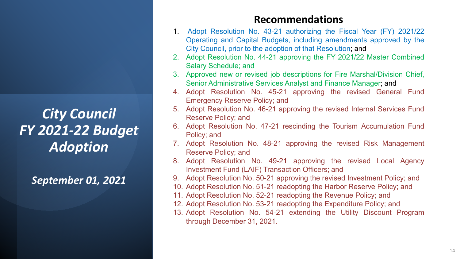*September 01, 2021*

#### **Recommendations**

- 1. Adopt Resolution No. 43-21 authorizing the Fiscal Year (FY) 2021/22 Operating and Capital Budgets, including amendments approved by the City Council, prior to the adoption of that Resolution; and
- 2. Adopt Resolution No. 44-21 approving the FY 2021/22 Master Combined Salary Schedule; and
- 3. Approved new or revised job descriptions for Fire Marshal/Division Chief, Senior Administrative Services Analyst and Finance Manager; and
- 4. Adopt Resolution No. 45-21 approving the revised General Fund Emergency Reserve Policy; and
- 5. Adopt Resolution No. 46-21 approving the revised Internal Services Fund Reserve Policy; and
- 6. Adopt Resolution No. 47-21 rescinding the Tourism Accumulation Fund Policy; and
- 7. Adopt Resolution No. 48-21 approving the revised Risk Management Reserve Policy; and
- 8. Adopt Resolution No. 49-21 approving the revised Local Agency Investment Fund (LAIF) Transaction Officers; and
- 9. Adopt Resolution No. 50-21 approving the revised Investment Policy; and
- 10. Adopt Resolution No. 51-21 readopting the Harbor Reserve Policy; and
- 11. Adopt Resolution No. 52-21 readopting the Revenue Policy; and
- 12. Adopt Resolution No. 53-21 readopting the Expenditure Policy; and
- 13. Adopt Resolution No. 54-21 extending the Utility Discount Program through December 31, 2021.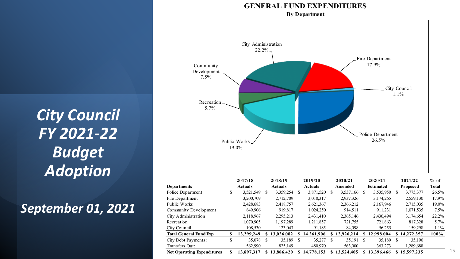*September 01, 2021*

#### **GENERAL FUND EXPENDITURES**

**By Department**



|                                   |                | -----      |                | -----      |                | -----      |         | -----      |                  | -----        |              | ------          | 70 V.        |  |
|-----------------------------------|----------------|------------|----------------|------------|----------------|------------|---------|------------|------------------|--------------|--------------|-----------------|--------------|--|
| Departments                       | <b>Actuals</b> |            | <b>Actuals</b> |            | <b>Actuals</b> |            | Amended |            | <b>Estimated</b> |              |              | <b>Proposed</b> | <b>Total</b> |  |
| Police Department                 | ۰٦             | 3,521,549  | S              | 3,359,254  | S              | 3,871,520  | S.      | 3,537,166  | S                | 3,535,950    | <sup>S</sup> | 3,775,377       | 26.5%        |  |
| Fire Department                   |                | 3,200,709  |                | 2,712,709  |                | 3,010,317  |         | 2,937,326  |                  | 3,174,265    |              | 2,559,130       | 17.9%        |  |
| Public Works                      |                | 2,428,683  |                | 2,418,757  |                | 2,621,367  |         | 2,366,212  |                  | 2,167,946    |              | 2,715,035       | 19.0%        |  |
| Community Development             |                | 849,906    |                | 919.817    |                | 1,024,250  |         | 914,511    |                  | 911.231      |              | 1,071,535       | $7.5\%$      |  |
| City Administration               |                | 2,118,967  |                | 2,295,213  |                | 2,431,410  |         | 2,365,146  |                  | 2,430,494    |              | 3,174,654       | 22.2%        |  |
| Recreation                        |                | 1.070.905  |                | 1,197,289  |                | 1,211,857  |         | 721,755    |                  | 721,863      |              | 817,328         | $5.7\%$      |  |
| City Council                      |                | 108,530    |                | 123,043    |                | 91,185     |         | 84,098     |                  | 56,255       |              | 159,298         | $1.1\%$      |  |
| Total General Fund Exp            | S              | 13.299.249 |                | 13,026,082 | SS.            | 14.261.906 | S.      | 12,926,214 |                  | \$12,998,004 | S.           | 14,272,357      | 100%         |  |
| City Debt Payments:               | ۰D             | 35,078     | -S             | 35,189     | S              | 35,277     | S.      | 35,191     | -S               | 35,189       | -S           | 35,190          |              |  |
| Transfers Out:                    |                | 562,990    |                | 825,149    |                | 480,970    |         | 563,000    |                  | 363,273      |              | 1,289,688       |              |  |
| <b>Net Operating Expenditures</b> |                | 13.897.317 |                | 13,886,420 | S.             | 14,778,153 |         | 13,524,405 |                  | 13.396.466   |              | 15.597.235      |              |  |
|                                   |                |            |                |            |                |            |         |            |                  |              |              |                 |              |  |

 $\sim 10^{-1}$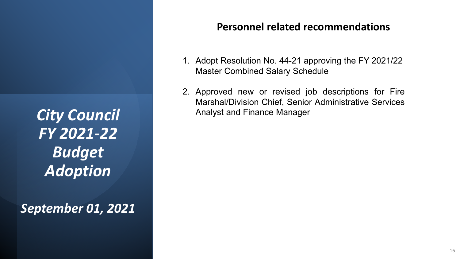*September 01, 2021*

### **Personnel related recommendations**

- 1. Adopt Resolution No. 44-21 approving the FY 2021/22 Master Combined Salary Schedule
- 2. Approved new or revised job descriptions for Fire Marshal/Division Chief, Senior Administrative Services Analyst and Finance Manager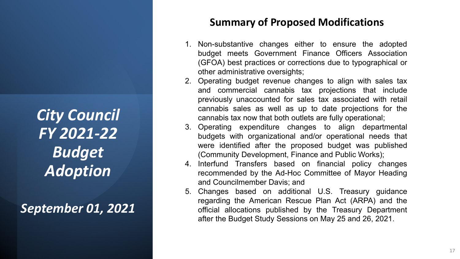*September 01, 2021*

### **Summary of Proposed Modifications**

- 1. Non-substantive changes either to ensure the adopted budget meets Government Finance Officers Association (GFOA) best practices or corrections due to typographical or other administrative oversights;
- 2. Operating budget revenue changes to align with sales tax and commercial cannabis tax projections that include previously unaccounted for sales tax associated with retail cannabis sales as well as up to date projections for the cannabis tax now that both outlets are fully operational;
- 3. Operating expenditure changes to align departmental budgets with organizational and/or operational needs that were identified after the proposed budget was published (Community Development, Finance and Public Works);
- 4. Interfund Transfers based on financial policy changes recommended by the Ad-Hoc Committee of Mayor Heading and Councilmember Davis; and
- 5. Changes based on additional U.S. Treasury guidance regarding the American Rescue Plan Act (ARPA) and the official allocations published by the Treasury Department after the Budget Study Sessions on May 25 and 26, 2021.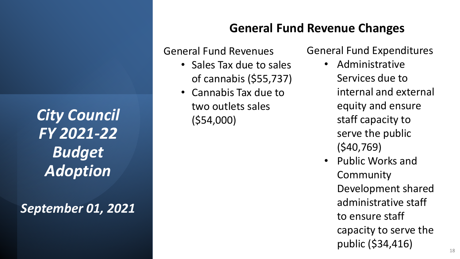*September 01, 2021*

### **General Fund Revenue Changes**

General Fund Revenues

- Sales Tax due to sales of cannabis (\$55,737)
- Cannabis Tax due to two outlets sales (\$54,000)

General Fund Expenditures

- Administrative Services due to internal and external equity and ensure staff capacity to serve the public (\$40,769)
- Public Works and Community Development shared administrative staff to ensure staff capacity to serve the public (\$34,416)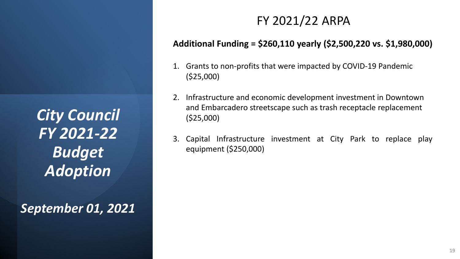*September 01, 2021*

## FY 2021/22 ARPA

### **Additional Funding = \$260,110 yearly (\$2,500,220 vs. \$1,980,000)**

- 1. Grants to non-profits that were impacted by COVID-19 Pandemic (\$25,000)
- 2. Infrastructure and economic development investment in Downtown and Embarcadero streetscape such as trash receptacle replacement (\$25,000)
- 3. Capital Infrastructure investment at City Park to replace play equipment (\$250,000)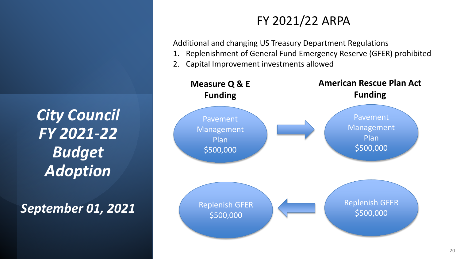*September 01, 2021*

## FY 2021/22 ARPA

Additional and changing US Treasury Department Regulations

- 1. Replenishment of General Fund Emergency Reserve (GFER) prohibited
- 2. Capital Improvement investments allowed

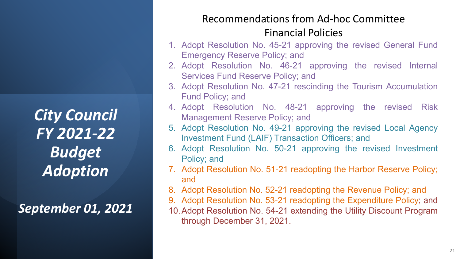*September 01, 2021*

### Recommendations from Ad-hoc Committee Financial Policies

- 1. Adopt Resolution No. 45-21 approving the revised General Fund Emergency Reserve Policy; and
- 2. Adopt Resolution No. 46-21 approving the revised Internal Services Fund Reserve Policy; and
- 3. Adopt Resolution No. 47-21 rescinding the Tourism Accumulation Fund Policy; and
- 4. Adopt Resolution No. 48-21 approving the revised Risk Management Reserve Policy; and
- 5. Adopt Resolution No. 49-21 approving the revised Local Agency Investment Fund (LAIF) Transaction Officers; and
- 6. Adopt Resolution No. 50-21 approving the revised Investment Policy; and
- 7. Adopt Resolution No. 51-21 readopting the Harbor Reserve Policy; and
- 8. Adopt Resolution No. 52-21 readopting the Revenue Policy; and
- 9. Adopt Resolution No. 53-21 readopting the Expenditure Policy; and
- 10.Adopt Resolution No. 54-21 extending the Utility Discount Program through December 31, 2021.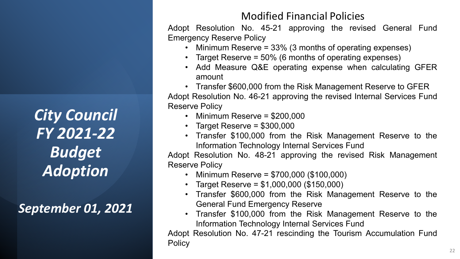*September 01, 2021*

### Modified Financial Policies

Adopt Resolution No. 45-21 approving the revised General Fund Emergency Reserve Policy

- Minimum Reserve = 33% (3 months of operating expenses)
- Target Reserve = 50% (6 months of operating expenses)
- Add Measure Q&E operating expense when calculating GFER amount
- Transfer \$600,000 from the Risk Management Reserve to GFER Adopt Resolution No. 46-21 approving the revised Internal Services Fund Reserve Policy
	- Minimum Reserve = \$200,000
	- Target Reserve = \$300,000
	- Transfer \$100,000 from the Risk Management Reserve to the Information Technology Internal Services Fund

Adopt Resolution No. 48-21 approving the revised Risk Management Reserve Policy

- Minimum Reserve = \$700,000 (\$100,000)
- Target Reserve =  $$1,000,000$  (\$150,000)
- Transfer \$600,000 from the Risk Management Reserve to the General Fund Emergency Reserve
- Transfer \$100,000 from the Risk Management Reserve to the Information Technology Internal Services Fund

Adopt Resolution No. 47-21 rescinding the Tourism Accumulation Fund **Policy**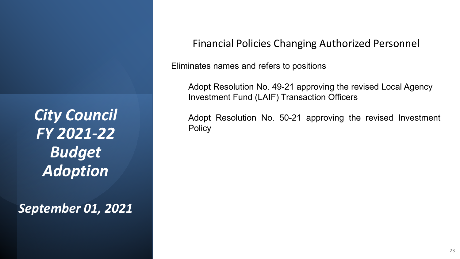*September 01, 2021*

Financial Policies Changing Authorized Personnel

Eliminates names and refers to positions

Adopt Resolution No. 49-21 approving the revised Local Agency Investment Fund (LAIF) Transaction Officers

Adopt Resolution No. 50-21 approving the revised Investment **Policy**